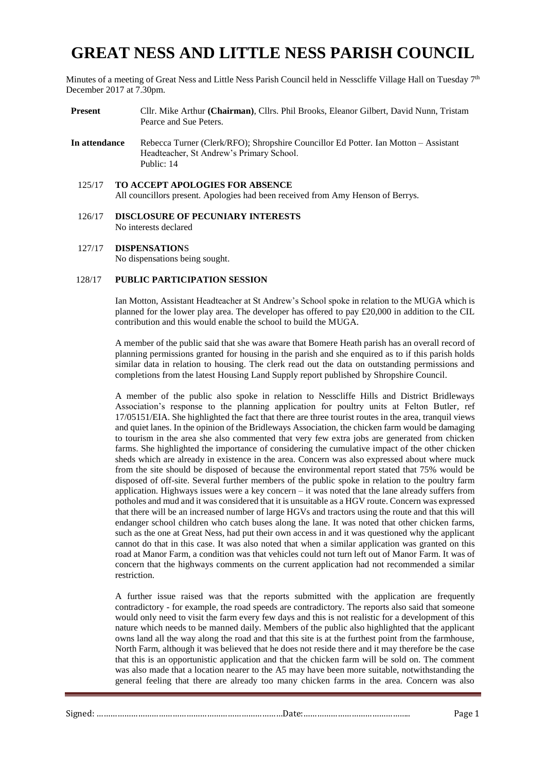# **GREAT NESS AND LITTLE NESS PARISH COUNCIL**

Minutes of a meeting of Great Ness and Little Ness Parish Council held in Nesscliffe Village Hall on Tuesday  $7<sup>th</sup>$ December 2017 at 7.30pm.

- **Present** Cllr. Mike Arthur **(Chairman)**, Cllrs. Phil Brooks, Eleanor Gilbert, David Nunn, Tristam Pearce and Sue Peters.
- **In attendance** Rebecca Turner (Clerk/RFO); Shropshire Councillor Ed Potter. Ian Motton Assistant Headteacher, St Andrew's Primary School. Public: 14
	- 125/17 **TO ACCEPT APOLOGIES FOR ABSENCE** All councillors present. Apologies had been received from Amy Henson of Berrys.
	- 126/17 **DISCLOSURE OF PECUNIARY INTERESTS** No interests declared
	- 127/17 **DISPENSATION**S No dispensations being sought.

## 128/17 **PUBLIC PARTICIPATION SESSION**

Ian Motton, Assistant Headteacher at St Andrew's School spoke in relation to the MUGA which is planned for the lower play area. The developer has offered to pay £20,000 in addition to the CIL contribution and this would enable the school to build the MUGA.

A member of the public said that she was aware that Bomere Heath parish has an overall record of planning permissions granted for housing in the parish and she enquired as to if this parish holds similar data in relation to housing. The clerk read out the data on outstanding permissions and completions from the latest Housing Land Supply report published by Shropshire Council.

A member of the public also spoke in relation to Nesscliffe Hills and District Bridleways Association's response to the planning application for poultry units at Felton Butler, ref 17/05151/EIA. She highlighted the fact that there are three tourist routes in the area, tranquil views and quiet lanes. In the opinion of the Bridleways Association, the chicken farm would be damaging to tourism in the area she also commented that very few extra jobs are generated from chicken farms. She highlighted the importance of considering the cumulative impact of the other chicken sheds which are already in existence in the area. Concern was also expressed about where muck from the site should be disposed of because the environmental report stated that 75% would be disposed of off-site. Several further members of the public spoke in relation to the poultry farm application. Highways issues were a key concern – it was noted that the lane already suffers from potholes and mud and it was considered that it is unsuitable as a HGV route. Concern was expressed that there will be an increased number of large HGVs and tractors using the route and that this will endanger school children who catch buses along the lane. It was noted that other chicken farms, such as the one at Great Ness, had put their own access in and it was questioned why the applicant cannot do that in this case. It was also noted that when a similar application was granted on this road at Manor Farm, a condition was that vehicles could not turn left out of Manor Farm. It was of concern that the highways comments on the current application had not recommended a similar restriction.

A further issue raised was that the reports submitted with the application are frequently contradictory - for example, the road speeds are contradictory. The reports also said that someone would only need to visit the farm every few days and this is not realistic for a development of this nature which needs to be manned daily. Members of the public also highlighted that the applicant owns land all the way along the road and that this site is at the furthest point from the farmhouse, North Farm, although it was believed that he does not reside there and it may therefore be the case that this is an opportunistic application and that the chicken farm will be sold on. The comment was also made that a location nearer to the A5 may have been more suitable, notwithstanding the general feeling that there are already too many chicken farms in the area. Concern was also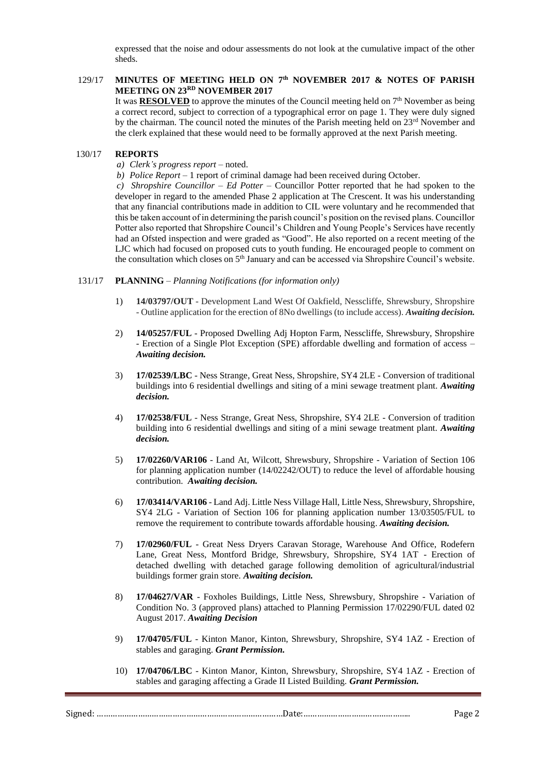expressed that the noise and odour assessments do not look at the cumulative impact of the other sheds.

## 129/17 **MINUTES OF MEETING HELD ON 7 th NOVEMBER 2017 & NOTES OF PARISH MEETING ON 23RD NOVEMBER 2017**

It was **RESOLVED** to approve the minutes of the Council meeting held on  $7<sup>th</sup>$  November as being a correct record, subject to correction of a typographical error on page 1. They were duly signed by the chairman. The council noted the minutes of the Parish meeting held on  $23<sup>rd</sup>$  November and the clerk explained that these would need to be formally approved at the next Parish meeting.

## 130/17 **REPORTS**

- *a) Clerk's progress report –* noted.
- *b) Police Report –* 1 report of criminal damage had been received during October.

*c) Shropshire Councillor – Ed Potter –* Councillor Potter reported that he had spoken to the developer in regard to the amended Phase 2 application at The Crescent. It was his understanding that any financial contributions made in addition to CIL were voluntary and he recommended that this be taken account of in determining the parish council's position on the revised plans. Councillor Potter also reported that Shropshire Council's Children and Young People's Services have recently had an Ofsted inspection and were graded as "Good". He also reported on a recent meeting of the LJC which had focused on proposed cuts to youth funding. He encouraged people to comment on the consultation which closes on 5th January and can be accessed via Shropshire Council's website.

- 131/17 **PLANNING** *Planning Notifications (for information only)*
	- 1) **14/03797/OUT** Development Land West Of Oakfield, Nesscliffe, Shrewsbury, Shropshire - Outline application for the erection of 8No dwellings (to include access). *Awaiting decision.*
	- 2) **14/05257/FUL** Proposed Dwelling Adj Hopton Farm, Nesscliffe, Shrewsbury, Shropshire - Erection of a Single Plot Exception (SPE) affordable dwelling and formation of access – *Awaiting decision.*
	- 3) **17/02539/LBC** Ness Strange, Great Ness, Shropshire, SY4 2LE Conversion of traditional buildings into 6 residential dwellings and siting of a mini sewage treatment plant. *Awaiting decision.*
	- 4) **17/02538/FUL** Ness Strange, Great Ness, Shropshire, SY4 2LE Conversion of tradition building into 6 residential dwellings and siting of a mini sewage treatment plant. *Awaiting decision.*
	- 5) **17/02260/VAR106** Land At, Wilcott, Shrewsbury, Shropshire Variation of Section 106 for planning application number (14/02242/OUT) to reduce the level of affordable housing contribution. *Awaiting decision.*
	- 6) **17/03414/VAR106** Land Adj. Little Ness Village Hall, Little Ness, Shrewsbury, Shropshire, SY4 2LG - Variation of Section 106 for planning application number 13/03505/FUL to remove the requirement to contribute towards affordable housing. *Awaiting decision.*
	- 7) **17/02960/FUL** Great Ness Dryers Caravan Storage, Warehouse And Office, Rodefern Lane, Great Ness, Montford Bridge, Shrewsbury, Shropshire, SY4 1AT - Erection of detached dwelling with detached garage following demolition of agricultural/industrial buildings former grain store. *Awaiting decision.*
	- 8) **17/04627/VAR** Foxholes Buildings, Little Ness, Shrewsbury, Shropshire Variation of Condition No. 3 (approved plans) attached to Planning Permission 17/02290/FUL dated 02 August 2017. *Awaiting Decision*
	- 9) **17/04705/FUL** Kinton Manor, Kinton, Shrewsbury, Shropshire, SY4 1AZ Erection of stables and garaging. *Grant Permission.*
	- 10) **17/04706/LBC** Kinton Manor, Kinton, Shrewsbury, Shropshire, SY4 1AZ Erection of stables and garaging affecting a Grade II Listed Building. *Grant Permission.*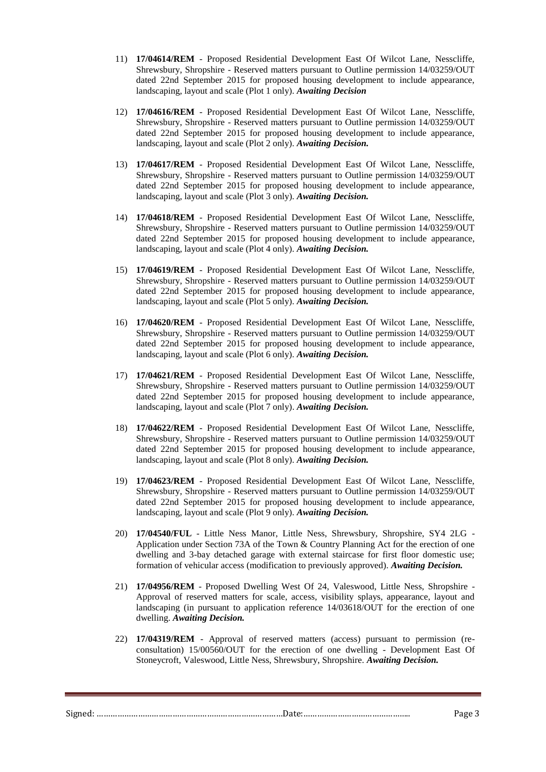- 11) **17/04614/REM** Proposed Residential Development East Of Wilcot Lane, Nesscliffe, Shrewsbury, Shropshire - Reserved matters pursuant to Outline permission 14/03259/OUT dated 22nd September 2015 for proposed housing development to include appearance, landscaping, layout and scale (Plot 1 only). *Awaiting Decision*
- 12) **17/04616/REM** Proposed Residential Development East Of Wilcot Lane, Nesscliffe, Shrewsbury, Shropshire - Reserved matters pursuant to Outline permission 14/03259/OUT dated 22nd September 2015 for proposed housing development to include appearance, landscaping, layout and scale (Plot 2 only). *Awaiting Decision.*
- 13) **17/04617/REM** Proposed Residential Development East Of Wilcot Lane, Nesscliffe, Shrewsbury, Shropshire - Reserved matters pursuant to Outline permission 14/03259/OUT dated 22nd September 2015 for proposed housing development to include appearance, landscaping, layout and scale (Plot 3 only). *Awaiting Decision.*
- 14) **17/04618/REM** Proposed Residential Development East Of Wilcot Lane, Nesscliffe, Shrewsbury, Shropshire - Reserved matters pursuant to Outline permission 14/03259/OUT dated 22nd September 2015 for proposed housing development to include appearance, landscaping, layout and scale (Plot 4 only). *Awaiting Decision.*
- 15) **17/04619/REM** Proposed Residential Development East Of Wilcot Lane, Nesscliffe, Shrewsbury, Shropshire - Reserved matters pursuant to Outline permission 14/03259/OUT dated 22nd September 2015 for proposed housing development to include appearance, landscaping, layout and scale (Plot 5 only). *Awaiting Decision.*
- 16) **17/04620/REM**  Proposed Residential Development East Of Wilcot Lane, Nesscliffe, Shrewsbury, Shropshire - Reserved matters pursuant to Outline permission 14/03259/OUT dated 22nd September 2015 for proposed housing development to include appearance, landscaping, layout and scale (Plot 6 only). *Awaiting Decision.*
- 17) **17/04621/REM** Proposed Residential Development East Of Wilcot Lane, Nesscliffe, Shrewsbury, Shropshire - Reserved matters pursuant to Outline permission 14/03259/OUT dated 22nd September 2015 for proposed housing development to include appearance, landscaping, layout and scale (Plot 7 only). *Awaiting Decision.*
- 18) **17/04622/REM** Proposed Residential Development East Of Wilcot Lane, Nesscliffe, Shrewsbury, Shropshire - Reserved matters pursuant to Outline permission 14/03259/OUT dated 22nd September 2015 for proposed housing development to include appearance, landscaping, layout and scale (Plot 8 only). *Awaiting Decision.*
- 19) **17/04623/REM** Proposed Residential Development East Of Wilcot Lane, Nesscliffe, Shrewsbury, Shropshire - Reserved matters pursuant to Outline permission 14/03259/OUT dated 22nd September 2015 for proposed housing development to include appearance, landscaping, layout and scale (Plot 9 only). *Awaiting Decision.*
- 20) **17/04540/FUL** Little Ness Manor, Little Ness, Shrewsbury, Shropshire, SY4 2LG Application under Section 73A of the Town & Country Planning Act for the erection of one dwelling and 3-bay detached garage with external staircase for first floor domestic use; formation of vehicular access (modification to previously approved). *Awaiting Decision.*
- 21) **17/04956/REM** Proposed Dwelling West Of 24, Valeswood, Little Ness, Shropshire Approval of reserved matters for scale, access, visibility splays, appearance, layout and landscaping (in pursuant to application reference 14/03618/OUT for the erection of one dwelling. *Awaiting Decision.*
- 22) **17/04319/REM** Approval of reserved matters (access) pursuant to permission (reconsultation) 15/00560/OUT for the erection of one dwelling - Development East Of Stoneycroft, Valeswood, Little Ness, Shrewsbury, Shropshire. *Awaiting Decision.*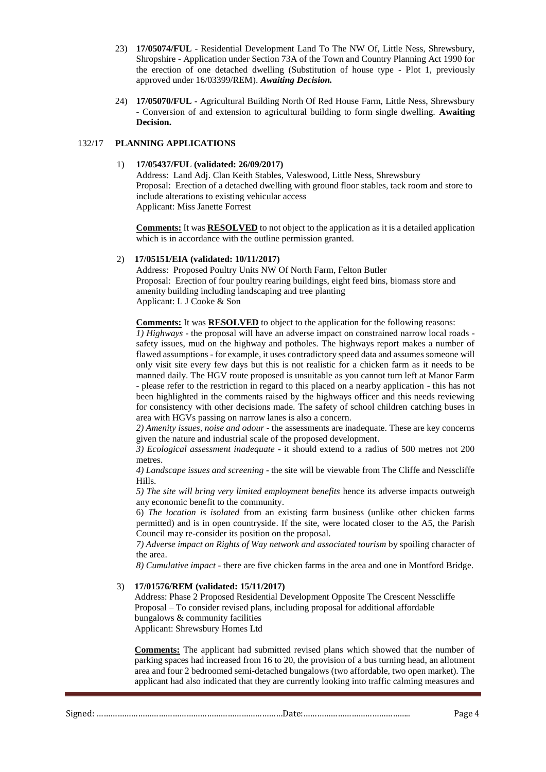- 23) **17/05074/FUL** Residential Development Land To The NW Of, Little Ness, Shrewsbury, Shropshire - Application under Section 73A of the Town and Country Planning Act 1990 for the erection of one detached dwelling (Substitution of house type - Plot 1, previously approved under 16/03399/REM). *Awaiting Decision.*
- 24) **17/05070/FUL** Agricultural Building North Of Red House Farm, Little Ness, Shrewsbury - Conversion of and extension to agricultural building to form single dwelling. **Awaiting Decision.**

# 132/17 **PLANNING APPLICATIONS**

# 1) **17/05437/FUL (validated: 26/09/2017)**

Address: Land Adj. Clan Keith Stables, Valeswood, Little Ness, Shrewsbury Proposal: Erection of a detached dwelling with ground floor stables, tack room and store to include alterations to existing vehicular access Applicant: Miss Janette Forrest

**Comments:** It was **RESOLVED** to not object to the application as it is a detailed application which is in accordance with the outline permission granted.

## 2) **17/05151/EIA (validated: 10/11/2017)**

Address: Proposed Poultry Units NW Of North Farm, Felton Butler Proposal: Erection of four poultry rearing buildings, eight feed bins, biomass store and amenity building including landscaping and tree planting Applicant: L J Cooke & Son

**Comments:** It was **RESOLVED** to object to the application for the following reasons:

*1) Highways* - the proposal will have an adverse impact on constrained narrow local roads safety issues, mud on the highway and potholes. The highways report makes a number of flawed assumptions - for example, it uses contradictory speed data and assumes someone will only visit site every few days but this is not realistic for a chicken farm as it needs to be manned daily. The HGV route proposed is unsuitable as you cannot turn left at Manor Farm - please refer to the restriction in regard to this placed on a nearby application - this has not been highlighted in the comments raised by the highways officer and this needs reviewing for consistency with other decisions made. The safety of school children catching buses in area with HGVs passing on narrow lanes is also a concern.

*2) Amenity issues, noise and odour* - the assessments are inadequate. These are key concerns given the nature and industrial scale of the proposed development.

*3) Ecological assessment inadequate* - it should extend to a radius of 500 metres not 200 metres.

*4) Landscape issues and screening* - the site will be viewable from The Cliffe and Nesscliffe Hills.

*5) The site will bring very limited employment benefits* hence its adverse impacts outweigh any economic benefit to the community.

6) *The location is isolated* from an existing farm business (unlike other chicken farms permitted) and is in open countryside. If the site, were located closer to the A5, the Parish Council may re-consider its position on the proposal.

*7) Adverse impact on Rights of Way network and associated tourism* by spoiling character of the area.

*8) Cumulative impact* - there are five chicken farms in the area and one in Montford Bridge.

## 3) **17/01576/REM (validated: 15/11/2017)**

Address: Phase 2 Proposed Residential Development Opposite The Crescent Nesscliffe Proposal – To consider revised plans, including proposal for additional affordable bungalows & community facilities Applicant: Shrewsbury Homes Ltd

**Comments:** The applicant had submitted revised plans which showed that the number of parking spaces had increased from 16 to 20, the provision of a bus turning head, an allotment area and four 2 bedroomed semi-detached bungalows (two affordable, two open market). The applicant had also indicated that they are currently looking into traffic calming measures and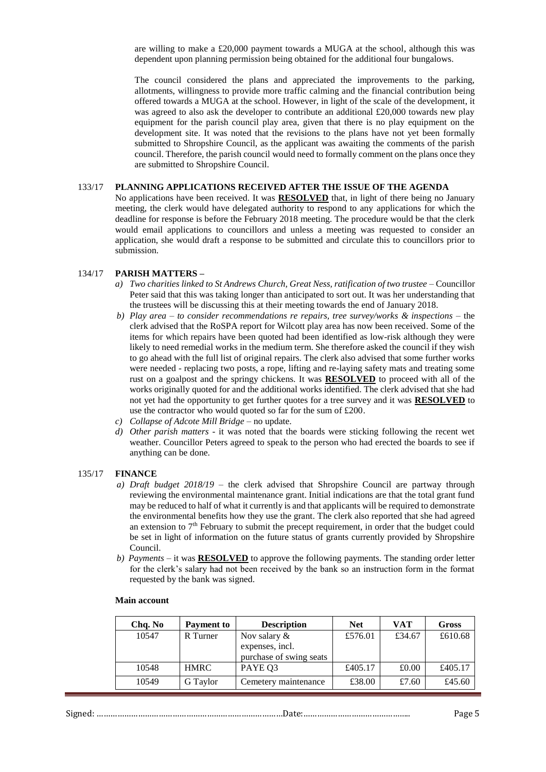are willing to make a £20,000 payment towards a MUGA at the school, although this was dependent upon planning permission being obtained for the additional four bungalows.

The council considered the plans and appreciated the improvements to the parking, allotments, willingness to provide more traffic calming and the financial contribution being offered towards a MUGA at the school. However, in light of the scale of the development, it was agreed to also ask the developer to contribute an additional £20,000 towards new play equipment for the parish council play area, given that there is no play equipment on the development site. It was noted that the revisions to the plans have not yet been formally submitted to Shropshire Council, as the applicant was awaiting the comments of the parish council. Therefore, the parish council would need to formally comment on the plans once they are submitted to Shropshire Council.

## 133/17 **PLANNING APPLICATIONS RECEIVED AFTER THE ISSUE OF THE AGENDA**

No applications have been received. It was **RESOLVED** that, in light of there being no January meeting, the clerk would have delegated authority to respond to any applications for which the deadline for response is before the February 2018 meeting. The procedure would be that the clerk would email applications to councillors and unless a meeting was requested to consider an application, she would draft a response to be submitted and circulate this to councillors prior to submission.

#### 134/17 **PARISH MATTERS –**

- *a) Two charities linked to St Andrews Church, Great Ness, ratification of two trustee –* Councillor Peter said that this was taking longer than anticipated to sort out. It was her understanding that the trustees will be discussing this at their meeting towards the end of January 2018.
- *b) Play area – to consider recommendations re repairs, tree survey/works & inspections* the clerk advised that the RoSPA report for Wilcott play area has now been received. Some of the items for which repairs have been quoted had been identified as low-risk although they were likely to need remedial works in the medium term. She therefore asked the council if they wish to go ahead with the full list of original repairs. The clerk also advised that some further works were needed - replacing two posts, a rope, lifting and re-laying safety mats and treating some rust on a goalpost and the springy chickens. It was **RESOLVED** to proceed with all of the works originally quoted for and the additional works identified. The clerk advised that she had not yet had the opportunity to get further quotes for a tree survey and it was **RESOLVED** to use the contractor who would quoted so far for the sum of £200.
- *c) Collapse of Adcote Mill Bridge* no update.
- *d) Other parish matters -* it was noted that the boards were sticking following the recent wet weather. Councillor Peters agreed to speak to the person who had erected the boards to see if anything can be done.

## 135/17 **FINANCE**

- *a) Draft budget 2018/19 –* the clerk advised that Shropshire Council are partway through reviewing the environmental maintenance grant. Initial indications are that the total grant fund may be reduced to half of what it currently is and that applicants will be required to demonstrate the environmental benefits how they use the grant. The clerk also reported that she had agreed an extension to  $7<sup>th</sup>$  February to submit the precept requirement, in order that the budget could be set in light of information on the future status of grants currently provided by Shropshire Council.
- *b) Payments –* it was **RESOLVED** to approve the following payments. The standing order letter for the clerk's salary had not been received by the bank so an instruction form in the format requested by the bank was signed.

## **Main account**

| Chq. No | <b>Payment to</b> | <b>Description</b>                 | <b>Net</b> | VAT    | Gross   |
|---------|-------------------|------------------------------------|------------|--------|---------|
| 10547   | R Turner          | Nov salary $\&$<br>expenses, incl. | £576.01    | £34.67 | £610.68 |
|         |                   | purchase of swing seats            |            |        |         |
| 10548   | <b>HMRC</b>       | PAYE Q3                            | £405.17    | £0.00  | £405.17 |
| 10549   | G Taylor          | Cemetery maintenance               | £38.00     | £7.60  | £45.60  |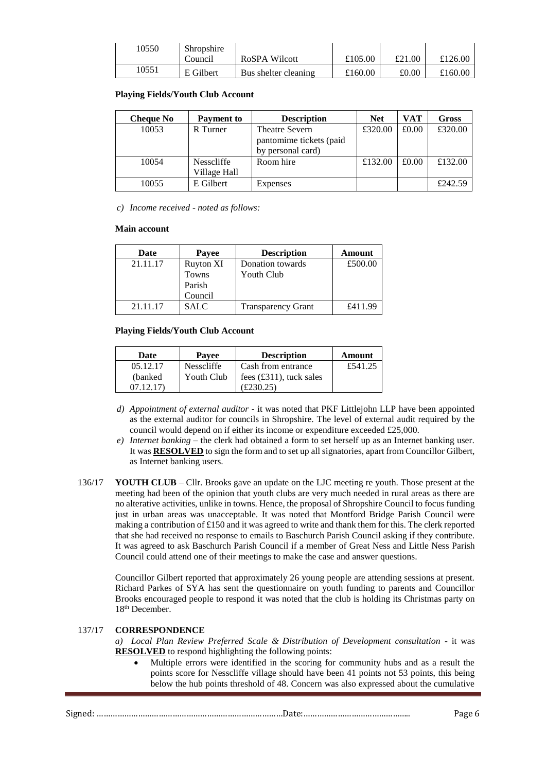| 10550 | Shropshire |                      |         |        |         |
|-------|------------|----------------------|---------|--------|---------|
|       | Council    | RoSPA Wilcott        | £105.00 | £21.00 | £126.00 |
| 10551 | E Gilbert  | Bus shelter cleaning | £160.00 | £0.00  | £160.00 |

## **Playing Fields/Youth Club Account**

| <b>Cheque No</b> | <b>Payment to</b> | <b>Description</b>      | <b>Net</b> | <b>VAT</b> | Gross   |
|------------------|-------------------|-------------------------|------------|------------|---------|
| 10053            | R Turner          | Theatre Severn          | £320.00    | £0.00      | £320.00 |
|                  |                   | pantomime tickets (paid |            |            |         |
|                  |                   | by personal card)       |            |            |         |
| 10054            | <b>Nesscliffe</b> | Room hire               | £132.00    | £0.00      | £132.00 |
|                  | Village Hall      |                         |            |            |         |
| 10055            | E Gilbert         | Expenses                |            |            | £242.59 |

*c) Income received - noted as follows:*

# **Main account**

| Date     | Payee            | <b>Description</b>        | Amount  |
|----------|------------------|---------------------------|---------|
| 21.11.17 | <b>Ruyton XI</b> | Donation towards          | £500.00 |
|          | Towns            | Youth Club                |         |
|          | Parish           |                           |         |
|          | Council          |                           |         |
| 21.11.17 | <b>SALC</b>      | <b>Transparency Grant</b> | £411.99 |

## **Playing Fields/Youth Club Account**

| Date     | Payee             | <b>Description</b>               | Amount  |
|----------|-------------------|----------------------------------|---------|
| 05.12.17 | <b>Nesscliffe</b> | Cash from entrance               | £541.25 |
| (banked) | Youth Club        | fees $(\pounds311)$ , tuck sales |         |
| (171217) |                   | (£230.25)                        |         |

- *d) Appointment of external auditor -* it was noted that PKF Littlejohn LLP have been appointed as the external auditor for councils in Shropshire. The level of external audit required by the council would depend on if either its income or expenditure exceeded £25,000.
- *e) Internet banking –* the clerk had obtained a form to set herself up as an Internet banking user. It was **RESOLVED** to sign the form and to set up all signatories, apart from Councillor Gilbert, as Internet banking users.
- 136/17 **YOUTH CLUB** Cllr. Brooks gave an update on the LJC meeting re youth. Those present at the meeting had been of the opinion that youth clubs are very much needed in rural areas as there are no alterative activities, unlike in towns. Hence, the proposal of Shropshire Council to focus funding just in urban areas was unacceptable. It was noted that Montford Bridge Parish Council were making a contribution of £150 and it was agreed to write and thank them for this. The clerk reported that she had received no response to emails to Baschurch Parish Council asking if they contribute. It was agreed to ask Baschurch Parish Council if a member of Great Ness and Little Ness Parish Council could attend one of their meetings to make the case and answer questions.

Councillor Gilbert reported that approximately 26 young people are attending sessions at present. Richard Parkes of SYA has sent the questionnaire on youth funding to parents and Councillor Brooks encouraged people to respond it was noted that the club is holding its Christmas party on 18th December.

# 137/17 **CORRESPONDENCE**

*a) Local Plan Review Preferred Scale & Distribution of Development consultation -* it was **RESOLVED** to respond highlighting the following points:

• Multiple errors were identified in the scoring for community hubs and as a result the points score for Nesscliffe village should have been 41 points not 53 points, this being below the hub points threshold of 48. Concern was also expressed about the cumulative

| ' خلد. |  |
|--------|--|
|--------|--|